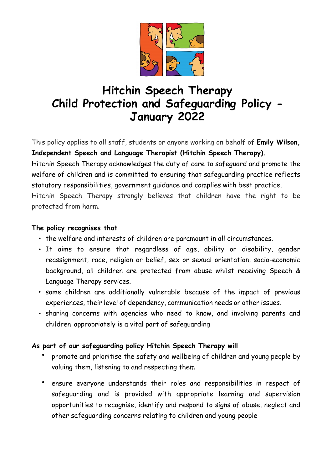

# **Hitchin Speech Therapy Child Protection and Safeguarding Policy - January 2022**

This policy applies to all staff, students or anyone working on behalf of **Emily Wilson, Independent Speech and Language Therapist (Hitchin Speech Therapy).**

Hitchin Speech Therapy acknowledges the duty of care to safeguard and promote the welfare of children and is committed to ensuring that safeguarding practice reflects statutory responsibilities, government guidance and complies with best practice.

Hitchin Speech Therapy strongly believes that children have the right to be protected from harm.

#### **The policy recognises that**

- the welfare and interests of children are paramount in all circumstances.
- It aims to ensure that regardless of age, ability or disability, gender reassignment, race, religion or belief, sex or sexual orientation, socio-economic background, all children are protected from abuse whilst receiving Speech & Language Therapy services.
- some children are additionally vulnerable because of the impact of previous experiences, their level of dependency, communication needs or other issues.
- sharing concerns with agencies who need to know, and involving parents and children appropriately is a vital part of safeguarding

#### **As part of our safeguarding policy Hitchin Speech Therapy will**

- promote and prioritise the safety and wellbeing of children and young people by valuing them, listening to and respecting them
- ensure everyone understands their roles and responsibilities in respect of safeguarding and is provided with appropriate learning and supervision opportunities to recognise, identify and respond to signs of abuse, neglect and other safeguarding concerns relating to children and young people